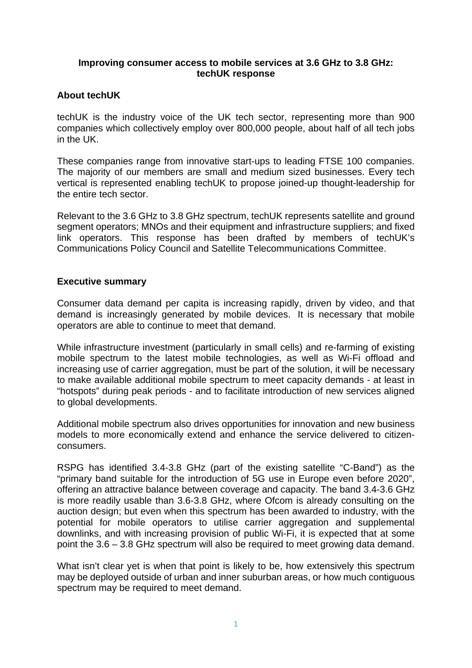### **Improving consumer access to mobile services at 3.6 GHz to 3.8 GHz: techUK response**

# **About techUK**

techUK is the industry voice of the UK tech sector, representing more than 900 companies which collectively employ over 800,000 people, about half of all tech jobs in the UK.

These companies range from innovative start-ups to leading FTSE 100 companies. The majority of our members are small and medium sized businesses. Every tech vertical is represented enabling techUK to propose joined-up thought-leadership for the entire tech sector.

Relevant to the 3.6 GHz to 3.8 GHz spectrum, techUK represents satellite and ground segment operators; MNOs and their equipment and infrastructure suppliers; and fixed link operators. This response has been drafted by members of techUK's Communications Policy Council and Satellite Telecommunications Committee.

### **Executive summary**

Consumer data demand per capita is increasing rapidly, driven by video, and that demand is increasingly generated by mobile devices. It is necessary that mobile operators are able to continue to meet that demand.

While infrastructure investment (particularly in small cells) and re-farming of existing mobile spectrum to the latest mobile technologies, as well as Wi-Fi offload and increasing use of carrier aggregation, must be part of the solution, it will be necessary to make available additional mobile spectrum to meet capacity demands - at least in "hotspots" during peak periods - and to facilitate introduction of new services aligned to global developments.

Additional mobile spectrum also drives opportunities for innovation and new business models to more economically extend and enhance the service delivered to citizenconsumers.

RSPG has identified 3.4-3.8 GHz (part of the existing satellite "C-Band") as the "primary band suitable for the introduction of 5G use in Europe even before 2020", offering an attractive balance between coverage and capacity. The band 3.4-3.6 GHz is more readily usable than 3.6-3.8 GHz, where Ofcom is already consulting on the auction design; but even when this spectrum has been awarded to industry, with the potential for mobile operators to utilise carrier aggregation and supplemental downlinks, and with increasing provision of public Wi-Fi, it is expected that at some point the 3.6 – 3.8 GHz spectrum will also be required to meet growing data demand.

What isn't clear yet is when that point is likely to be, how extensively this spectrum may be deployed outside of urban and inner suburban areas, or how much contiguous spectrum may be required to meet demand.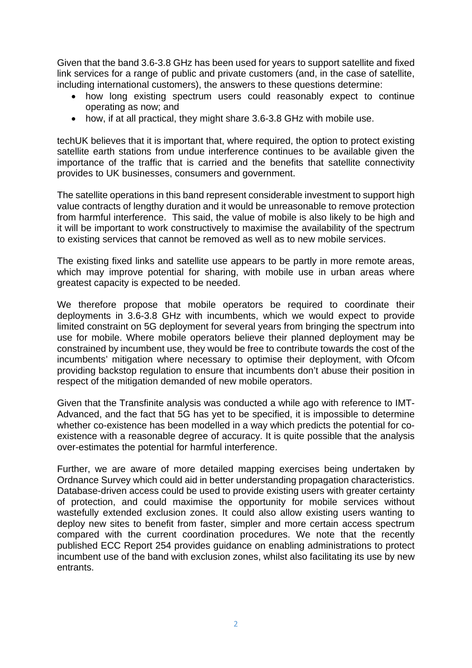Given that the band 3.6-3.8 GHz has been used for years to support satellite and fixed link services for a range of public and private customers (and, in the case of satellite, including international customers), the answers to these questions determine:

- how long existing spectrum users could reasonably expect to continue operating as now; and
- how, if at all practical, they might share 3.6-3.8 GHz with mobile use.

techUK believes that it is important that, where required, the option to protect existing satellite earth stations from undue interference continues to be available given the importance of the traffic that is carried and the benefits that satellite connectivity provides to UK businesses, consumers and government.

The satellite operations in this band represent considerable investment to support high value contracts of lengthy duration and it would be unreasonable to remove protection from harmful interference. This said, the value of mobile is also likely to be high and it will be important to work constructively to maximise the availability of the spectrum to existing services that cannot be removed as well as to new mobile services.

The existing fixed links and satellite use appears to be partly in more remote areas, which may improve potential for sharing, with mobile use in urban areas where greatest capacity is expected to be needed.

We therefore propose that mobile operators be required to coordinate their deployments in 3.6-3.8 GHz with incumbents, which we would expect to provide limited constraint on 5G deployment for several years from bringing the spectrum into use for mobile. Where mobile operators believe their planned deployment may be constrained by incumbent use, they would be free to contribute towards the cost of the incumbents' mitigation where necessary to optimise their deployment, with Ofcom providing backstop regulation to ensure that incumbents don't abuse their position in respect of the mitigation demanded of new mobile operators.

Given that the Transfinite analysis was conducted a while ago with reference to IMT-Advanced, and the fact that 5G has yet to be specified, it is impossible to determine whether co-existence has been modelled in a way which predicts the potential for coexistence with a reasonable degree of accuracy. It is quite possible that the analysis over-estimates the potential for harmful interference.

Further, we are aware of more detailed mapping exercises being undertaken by Ordnance Survey which could aid in better understanding propagation characteristics. Database-driven access could be used to provide existing users with greater certainty of protection, and could maximise the opportunity for mobile services without wastefully extended exclusion zones. It could also allow existing users wanting to deploy new sites to benefit from faster, simpler and more certain access spectrum compared with the current coordination procedures. We note that the recently published ECC Report 254 provides guidance on enabling administrations to protect incumbent use of the band with exclusion zones, whilst also facilitating its use by new entrants.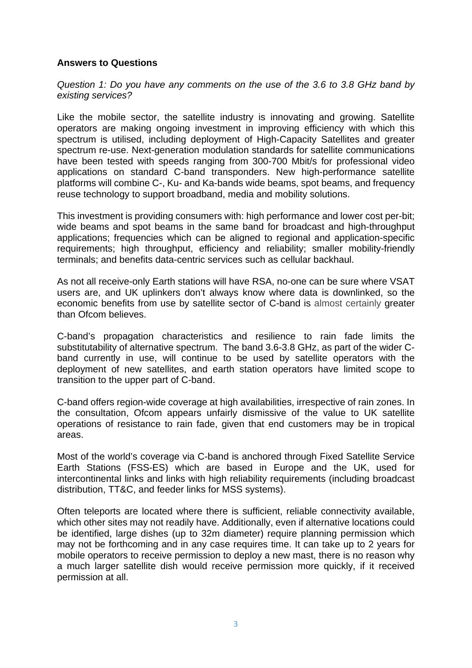# **Answers to Questions**

*Question 1: Do you have any comments on the use of the 3.6 to 3.8 GHz band by existing services?* 

Like the mobile sector, the satellite industry is innovating and growing. Satellite operators are making ongoing investment in improving efficiency with which this spectrum is utilised, including deployment of High-Capacity Satellites and greater spectrum re-use. Next-generation modulation standards for satellite communications have been tested with speeds ranging from 300-700 Mbit/s for professional video applications on standard C-band transponders. New high-performance satellite platforms will combine C-, Ku- and Ka-bands wide beams, spot beams, and frequency reuse technology to support broadband, media and mobility solutions.

This investment is providing consumers with: high performance and lower cost per-bit; wide beams and spot beams in the same band for broadcast and high-throughput applications; frequencies which can be aligned to regional and application-specific requirements; high throughput, efficiency and reliability; smaller mobility-friendly terminals; and benefits data-centric services such as cellular backhaul.

As not all receive-only Earth stations will have RSA, no-one can be sure where VSAT users are, and UK uplinkers don't always know where data is downlinked, so the economic benefits from use by satellite sector of C-band is almost certainly greater than Ofcom believes.

C-band's propagation characteristics and resilience to rain fade limits the substitutability of alternative spectrum. The band 3.6-3.8 GHz, as part of the wider Cband currently in use, will continue to be used by satellite operators with the deployment of new satellites, and earth station operators have limited scope to transition to the upper part of C-band.

C-band offers region-wide coverage at high availabilities, irrespective of rain zones. In the consultation, Ofcom appears unfairly dismissive of the value to UK satellite operations of resistance to rain fade, given that end customers may be in tropical areas.

Most of the world's coverage via C-band is anchored through Fixed Satellite Service Earth Stations (FSS-ES) which are based in Europe and the UK, used for intercontinental links and links with high reliability requirements (including broadcast distribution, TT&C, and feeder links for MSS systems).

Often teleports are located where there is sufficient, reliable connectivity available, which other sites may not readily have. Additionally, even if alternative locations could be identified, large dishes (up to 32m diameter) require planning permission which may not be forthcoming and in any case requires time. It can take up to 2 years for mobile operators to receive permission to deploy a new mast, there is no reason why a much larger satellite dish would receive permission more quickly, if it received permission at all.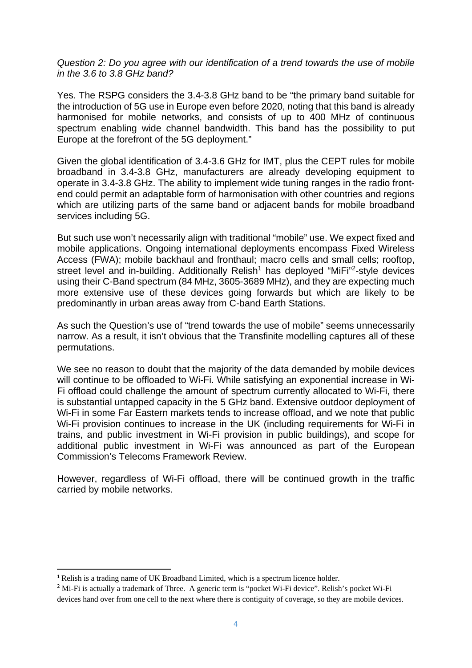*Question 2: Do you agree with our identification of a trend towards the use of mobile in the 3.6 to 3.8 GHz band?* 

Yes. The RSPG considers the 3.4-3.8 GHz band to be "the primary band suitable for the introduction of 5G use in Europe even before 2020, noting that this band is already harmonised for mobile networks, and consists of up to 400 MHz of continuous spectrum enabling wide channel bandwidth. This band has the possibility to put Europe at the forefront of the 5G deployment."

Given the global identification of 3.4-3.6 GHz for IMT, plus the CEPT rules for mobile broadband in 3.4-3.8 GHz, manufacturers are already developing equipment to operate in 3.4-3.8 GHz. The ability to implement wide tuning ranges in the radio frontend could permit an adaptable form of harmonisation with other countries and regions which are utilizing parts of the same band or adjacent bands for mobile broadband services including 5G.

But such use won't necessarily align with traditional "mobile" use. We expect fixed and mobile applications. Ongoing international deployments encompass Fixed Wireless Access (FWA); mobile backhaul and fronthaul; macro cells and small cells; rooftop, street level and in-building. Additionally Relish<sup>1</sup> has deployed "MiFi"<sup>2</sup>-style devices using their C-Band spectrum (84 MHz, 3605-3689 MHz), and they are expecting much more extensive use of these devices going forwards but which are likely to be predominantly in urban areas away from C-band Earth Stations.

As such the Question's use of "trend towards the use of mobile" seems unnecessarily narrow. As a result, it isn't obvious that the Transfinite modelling captures all of these permutations.

We see no reason to doubt that the majority of the data demanded by mobile devices will continue to be offloaded to Wi-Fi. While satisfying an exponential increase in Wi-Fi offload could challenge the amount of spectrum currently allocated to Wi-Fi, there is substantial untapped capacity in the 5 GHz band. Extensive outdoor deployment of Wi-Fi in some Far Eastern markets tends to increase offload, and we note that public Wi-Fi provision continues to increase in the UK (including requirements for Wi-Fi in trains, and public investment in Wi-Fi provision in public buildings), and scope for additional public investment in Wi-Fi was announced as part of the European Commission's Telecoms Framework Review.

However, regardless of Wi-Fi offload, there will be continued growth in the traffic carried by mobile networks.

<sup>1</sup> Relish is a trading name of UK Broadband Limited, which is a spectrum licence holder.

<sup>&</sup>lt;sup>2</sup> Mi-Fi is actually a trademark of Three. A generic term is "pocket Wi-Fi device". Relish's pocket Wi-Fi devices hand over from one cell to the next where there is contiguity of coverage, so they are mobile devices.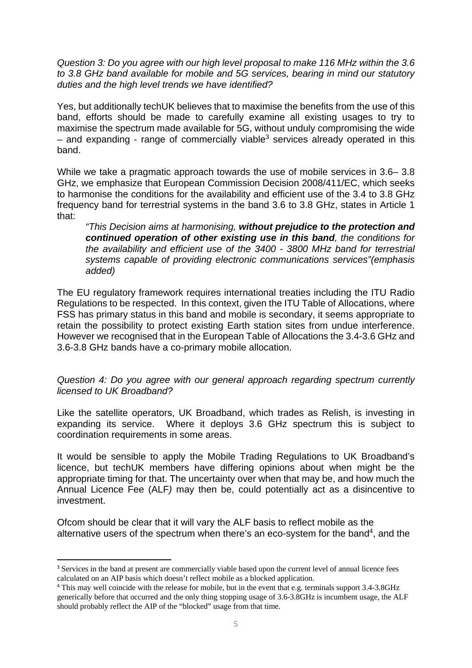*Question 3: Do you agree with our high level proposal to make 116 MHz within the 3.6 to 3.8 GHz band available for mobile and 5G services, bearing in mind our statutory duties and the high level trends we have identified?* 

Yes, but additionally techUK believes that to maximise the benefits from the use of this band, efforts should be made to carefully examine all existing usages to try to maximise the spectrum made available for 5G, without unduly compromising the wide  $-$  and expanding - range of commercially viable<sup>3</sup> services already operated in this band.

While we take a pragmatic approach towards the use of mobile services in 3.6– 3.8 GHz, we emphasize that European Commission Decision 2008/411/EC, which seeks to harmonise the conditions for the availability and efficient use of the 3.4 to 3.8 GHz frequency band for terrestrial systems in the band 3.6 to 3.8 GHz, states in Article 1 that:

*"This Decision aims at harmonising, without prejudice to the protection and continued operation of other existing use in this band, the conditions for the availability and efficient use of the 3400 - 3800 MHz band for terrestrial systems capable of providing electronic communications services"(emphasis added)* 

The EU regulatory framework requires international treaties including the ITU Radio Regulations to be respected. In this context, given the ITU Table of Allocations, where FSS has primary status in this band and mobile is secondary, it seems appropriate to retain the possibility to protect existing Earth station sites from undue interference. However we recognised that in the European Table of Allocations the 3.4-3.6 GHz and 3.6-3.8 GHz bands have a co-primary mobile allocation.

*Question 4: Do you agree with our general approach regarding spectrum currently licensed to UK Broadband?*

Like the satellite operators, UK Broadband, which trades as Relish, is investing in expanding its service. Where it deploys 3.6 GHz spectrum this is subject to coordination requirements in some areas.

It would be sensible to apply the Mobile Trading Regulations to UK Broadband's licence, but techUK members have differing opinions about when might be the appropriate timing for that. The uncertainty over when that may be, and how much the Annual Licence Fee (ALF*)* may then be, could potentially act as a disincentive to investment.

Ofcom should be clear that it will vary the ALF basis to reflect mobile as the alternative users of the spectrum when there's an eco-system for the band<sup>4</sup>, and the

<sup>&</sup>lt;sup>3</sup> Services in the band at present are commercially viable based upon the current level of annual licence fees calculated on an AIP basis which doesn't reflect mobile as a blocked application.

<sup>4</sup> This may well coincide with the release for mobile, but in the event that e.g. terminals support 3.4-3.8GHz generically before that occurred and the only thing stopping usage of 3.6-3.8GHz is incumbent usage, the ALF should probably reflect the AIP of the "blocked" usage from that time.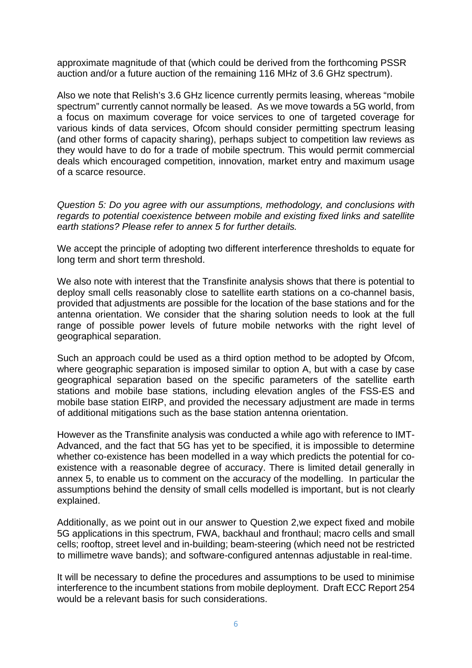approximate magnitude of that (which could be derived from the forthcoming PSSR auction and/or a future auction of the remaining 116 MHz of 3.6 GHz spectrum).

Also we note that Relish's 3.6 GHz licence currently permits leasing, whereas "mobile spectrum" currently cannot normally be leased. As we move towards a 5G world, from a focus on maximum coverage for voice services to one of targeted coverage for various kinds of data services, Ofcom should consider permitting spectrum leasing (and other forms of capacity sharing), perhaps subject to competition law reviews as they would have to do for a trade of mobile spectrum. This would permit commercial deals which encouraged competition, innovation, market entry and maximum usage of a scarce resource.

*Question 5: Do you agree with our assumptions, methodology, and conclusions with regards to potential coexistence between mobile and existing fixed links and satellite earth stations? Please refer to annex 5 for further details.*

We accept the principle of adopting two different interference thresholds to equate for long term and short term threshold.

We also note with interest that the Transfinite analysis shows that there is potential to deploy small cells reasonably close to satellite earth stations on a co-channel basis, provided that adjustments are possible for the location of the base stations and for the antenna orientation. We consider that the sharing solution needs to look at the full range of possible power levels of future mobile networks with the right level of geographical separation.

Such an approach could be used as a third option method to be adopted by Ofcom, where geographic separation is imposed similar to option A, but with a case by case geographical separation based on the specific parameters of the satellite earth stations and mobile base stations, including elevation angles of the FSS-ES and mobile base station EIRP, and provided the necessary adjustment are made in terms of additional mitigations such as the base station antenna orientation.

However as the Transfinite analysis was conducted a while ago with reference to IMT-Advanced, and the fact that 5G has yet to be specified, it is impossible to determine whether co-existence has been modelled in a way which predicts the potential for coexistence with a reasonable degree of accuracy. There is limited detail generally in annex 5, to enable us to comment on the accuracy of the modelling. In particular the assumptions behind the density of small cells modelled is important, but is not clearly explained.

Additionally, as we point out in our answer to Question 2,we expect fixed and mobile 5G applications in this spectrum, FWA, backhaul and fronthaul; macro cells and small cells; rooftop, street level and in-building; beam-steering (which need not be restricted to millimetre wave bands); and software-configured antennas adjustable in real-time.

It will be necessary to define the procedures and assumptions to be used to minimise interference to the incumbent stations from mobile deployment. Draft ECC Report 254 would be a relevant basis for such considerations.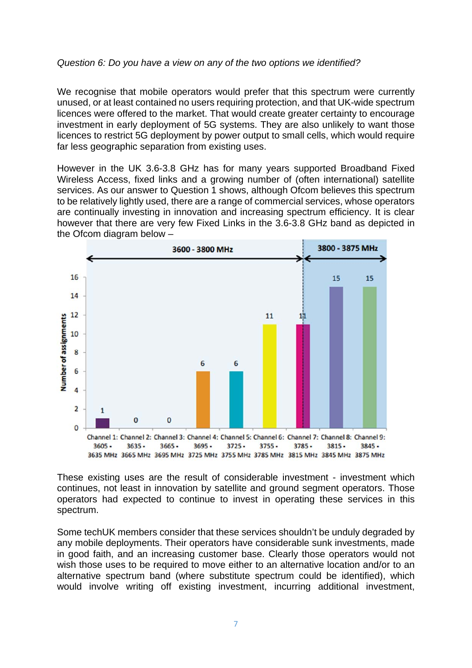#### *Question 6: Do you have a view on any of the two options we identified?*

We recognise that mobile operators would prefer that this spectrum were currently unused, or at least contained no users requiring protection, and that UK-wide spectrum licences were offered to the market. That would create greater certainty to encourage investment in early deployment of 5G systems. They are also unlikely to want those licences to restrict 5G deployment by power output to small cells, which would require far less geographic separation from existing uses.

However in the UK 3.6-3.8 GHz has for many years supported Broadband Fixed Wireless Access, fixed links and a growing number of (often international) satellite services. As our answer to Question 1 shows, although Ofcom believes this spectrum to be relatively lightly used, there are a range of commercial services, whose operators are continually investing in innovation and increasing spectrum efficiency. It is clear however that there are very few Fixed Links in the 3.6-3.8 GHz band as depicted in the Ofcom diagram below –



3635 MHz 3665 MHz 3695 MHz 3725 MHz 3755 MHz 3785 MHz 3815 MHz 3845 MHz 3875 MHz

These existing uses are the result of considerable investment - investment which continues, not least in innovation by satellite and ground segment operators. Those operators had expected to continue to invest in operating these services in this spectrum.

Some techUK members consider that these services shouldn't be unduly degraded by any mobile deployments. Their operators have considerable sunk investments, made in good faith, and an increasing customer base. Clearly those operators would not wish those uses to be required to move either to an alternative location and/or to an alternative spectrum band (where substitute spectrum could be identified), which would involve writing off existing investment, incurring additional investment,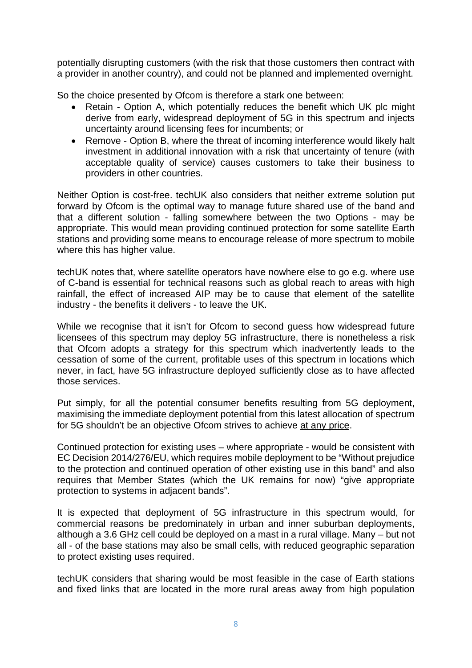potentially disrupting customers (with the risk that those customers then contract with a provider in another country), and could not be planned and implemented overnight.

So the choice presented by Ofcom is therefore a stark one between:

- Retain Option A, which potentially reduces the benefit which UK plc might derive from early, widespread deployment of 5G in this spectrum and injects uncertainty around licensing fees for incumbents; or
- Remove Option B, where the threat of incoming interference would likely halt investment in additional innovation with a risk that uncertainty of tenure (with acceptable quality of service) causes customers to take their business to providers in other countries.

Neither Option is cost-free. techUK also considers that neither extreme solution put forward by Ofcom is the optimal way to manage future shared use of the band and that a different solution - falling somewhere between the two Options - may be appropriate. This would mean providing continued protection for some satellite Earth stations and providing some means to encourage release of more spectrum to mobile where this has higher value.

techUK notes that, where satellite operators have nowhere else to go e.g. where use of C-band is essential for technical reasons such as global reach to areas with high rainfall, the effect of increased AIP may be to cause that element of the satellite industry - the benefits it delivers - to leave the UK.

While we recognise that it isn't for Ofcom to second guess how widespread future licensees of this spectrum may deploy 5G infrastructure, there is nonetheless a risk that Ofcom adopts a strategy for this spectrum which inadvertently leads to the cessation of some of the current, profitable uses of this spectrum in locations which never, in fact, have 5G infrastructure deployed sufficiently close as to have affected those services.

Put simply, for all the potential consumer benefits resulting from 5G deployment, maximising the immediate deployment potential from this latest allocation of spectrum for 5G shouldn't be an objective Ofcom strives to achieve at any price.

Continued protection for existing uses – where appropriate - would be consistent with EC Decision 2014/276/EU, which requires mobile deployment to be "Without prejudice to the protection and continued operation of other existing use in this band" and also requires that Member States (which the UK remains for now) "give appropriate protection to systems in adjacent bands".

It is expected that deployment of 5G infrastructure in this spectrum would, for commercial reasons be predominately in urban and inner suburban deployments, although a 3.6 GHz cell could be deployed on a mast in a rural village. Many – but not all - of the base stations may also be small cells, with reduced geographic separation to protect existing uses required.

techUK considers that sharing would be most feasible in the case of Earth stations and fixed links that are located in the more rural areas away from high population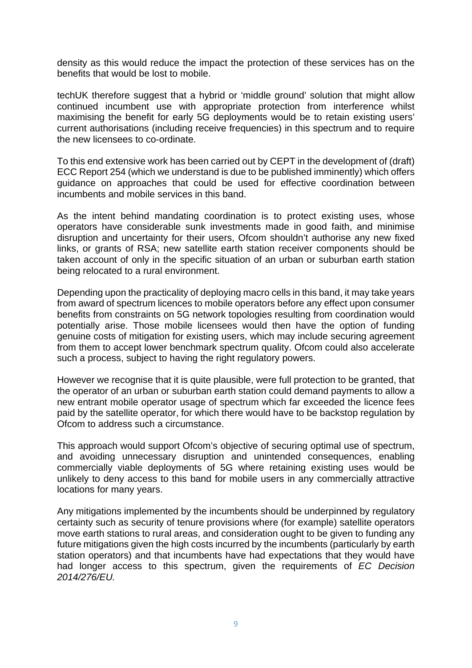density as this would reduce the impact the protection of these services has on the benefits that would be lost to mobile.

techUK therefore suggest that a hybrid or 'middle ground' solution that might allow continued incumbent use with appropriate protection from interference whilst maximising the benefit for early 5G deployments would be to retain existing users' current authorisations (including receive frequencies) in this spectrum and to require the new licensees to co-ordinate.

To this end extensive work has been carried out by CEPT in the development of (draft) ECC Report 254 (which we understand is due to be published imminently) which offers guidance on approaches that could be used for effective coordination between incumbents and mobile services in this band.

As the intent behind mandating coordination is to protect existing uses, whose operators have considerable sunk investments made in good faith, and minimise disruption and uncertainty for their users, Ofcom shouldn't authorise any new fixed links, or grants of RSA; new satellite earth station receiver components should be taken account of only in the specific situation of an urban or suburban earth station being relocated to a rural environment.

Depending upon the practicality of deploying macro cells in this band, it may take years from award of spectrum licences to mobile operators before any effect upon consumer benefits from constraints on 5G network topologies resulting from coordination would potentially arise. Those mobile licensees would then have the option of funding genuine costs of mitigation for existing users, which may include securing agreement from them to accept lower benchmark spectrum quality. Ofcom could also accelerate such a process, subject to having the right regulatory powers.

However we recognise that it is quite plausible, were full protection to be granted, that the operator of an urban or suburban earth station could demand payments to allow a new entrant mobile operator usage of spectrum which far exceeded the licence fees paid by the satellite operator, for which there would have to be backstop regulation by Ofcom to address such a circumstance.

This approach would support Ofcom's objective of securing optimal use of spectrum, and avoiding unnecessary disruption and unintended consequences, enabling commercially viable deployments of 5G where retaining existing uses would be unlikely to deny access to this band for mobile users in any commercially attractive locations for many years.

Any mitigations implemented by the incumbents should be underpinned by regulatory certainty such as security of tenure provisions where (for example) satellite operators move earth stations to rural areas, and consideration ought to be given to funding any future mitigations given the high costs incurred by the incumbents (particularly by earth station operators) and that incumbents have had expectations that they would have had longer access to this spectrum, given the requirements of *EC Decision 2014/276/EU.*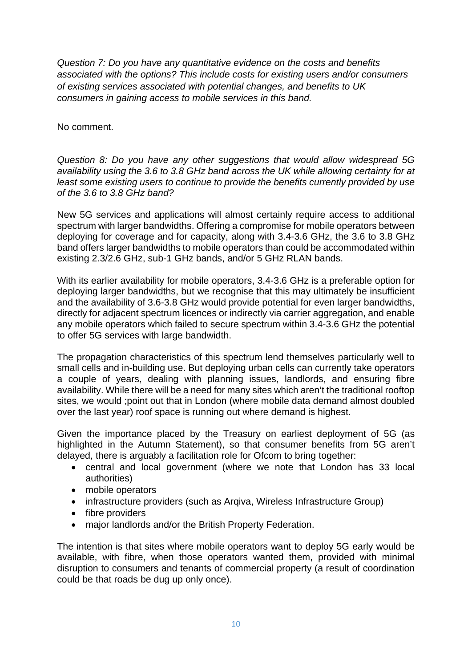*Question 7: Do you have any quantitative evidence on the costs and benefits associated with the options? This include costs for existing users and/or consumers of existing services associated with potential changes, and benefits to UK consumers in gaining access to mobile services in this band.*

No comment.

*Question 8: Do you have any other suggestions that would allow widespread 5G availability using the 3.6 to 3.8 GHz band across the UK while allowing certainty for at least some existing users to continue to provide the benefits currently provided by use of the 3.6 to 3.8 GHz band?*

New 5G services and applications will almost certainly require access to additional spectrum with larger bandwidths. Offering a compromise for mobile operators between deploying for coverage and for capacity, along with 3.4-3.6 GHz, the 3.6 to 3.8 GHz band offers larger bandwidths to mobile operators than could be accommodated within existing 2.3/2.6 GHz, sub-1 GHz bands, and/or 5 GHz RLAN bands.

With its earlier availability for mobile operators, 3.4-3.6 GHz is a preferable option for deploying larger bandwidths, but we recognise that this may ultimately be insufficient and the availability of 3.6-3.8 GHz would provide potential for even larger bandwidths, directly for adjacent spectrum licences or indirectly via carrier aggregation, and enable any mobile operators which failed to secure spectrum within 3.4-3.6 GHz the potential to offer 5G services with large bandwidth.

The propagation characteristics of this spectrum lend themselves particularly well to small cells and in-building use. But deploying urban cells can currently take operators a couple of years, dealing with planning issues, landlords, and ensuring fibre availability. While there will be a need for many sites which aren't the traditional rooftop sites, we would ;point out that in London (where mobile data demand almost doubled over the last year) roof space is running out where demand is highest.

Given the importance placed by the Treasury on earliest deployment of 5G (as highlighted in the Autumn Statement), so that consumer benefits from 5G aren't delayed, there is arguably a facilitation role for Ofcom to bring together:

- central and local government (where we note that London has 33 local authorities)
- mobile operators
- infrastructure providers (such as Argiva, Wireless Infrastructure Group)
- fibre providers
- major landlords and/or the British Property Federation.

The intention is that sites where mobile operators want to deploy 5G early would be available, with fibre, when those operators wanted them, provided with minimal disruption to consumers and tenants of commercial property (a result of coordination could be that roads be dug up only once).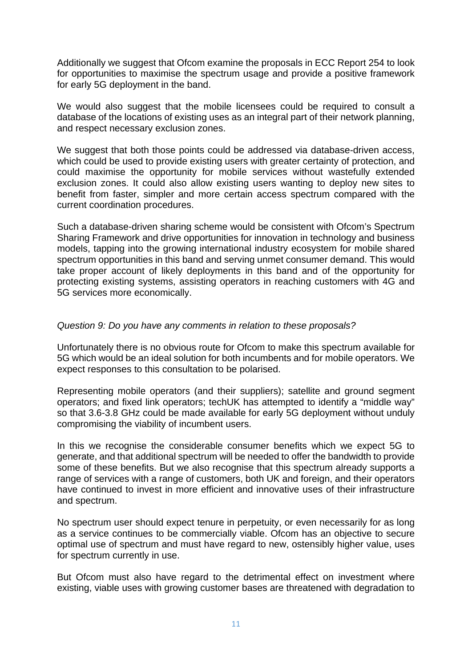Additionally we suggest that Ofcom examine the proposals in ECC Report 254 to look for opportunities to maximise the spectrum usage and provide a positive framework for early 5G deployment in the band.

We would also suggest that the mobile licensees could be required to consult a database of the locations of existing uses as an integral part of their network planning, and respect necessary exclusion zones.

We suggest that both those points could be addressed via database-driven access, which could be used to provide existing users with greater certainty of protection, and could maximise the opportunity for mobile services without wastefully extended exclusion zones. It could also allow existing users wanting to deploy new sites to benefit from faster, simpler and more certain access spectrum compared with the current coordination procedures.

Such a database-driven sharing scheme would be consistent with Ofcom's Spectrum Sharing Framework and drive opportunities for innovation in technology and business models, tapping into the growing international industry ecosystem for mobile shared spectrum opportunities in this band and serving unmet consumer demand. This would take proper account of likely deployments in this band and of the opportunity for protecting existing systems, assisting operators in reaching customers with 4G and 5G services more economically.

#### *Question 9: Do you have any comments in relation to these proposals?*

Unfortunately there is no obvious route for Ofcom to make this spectrum available for 5G which would be an ideal solution for both incumbents and for mobile operators. We expect responses to this consultation to be polarised.

Representing mobile operators (and their suppliers); satellite and ground segment operators; and fixed link operators; techUK has attempted to identify a "middle way" so that 3.6-3.8 GHz could be made available for early 5G deployment without unduly compromising the viability of incumbent users.

In this we recognise the considerable consumer benefits which we expect 5G to generate, and that additional spectrum will be needed to offer the bandwidth to provide some of these benefits. But we also recognise that this spectrum already supports a range of services with a range of customers, both UK and foreign, and their operators have continued to invest in more efficient and innovative uses of their infrastructure and spectrum.

No spectrum user should expect tenure in perpetuity, or even necessarily for as long as a service continues to be commercially viable. Ofcom has an objective to secure optimal use of spectrum and must have regard to new, ostensibly higher value, uses for spectrum currently in use.

But Ofcom must also have regard to the detrimental effect on investment where existing, viable uses with growing customer bases are threatened with degradation to